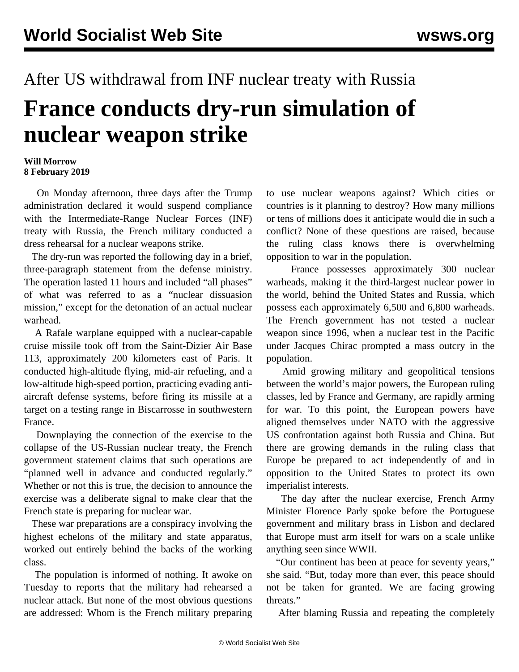## After US withdrawal from INF nuclear treaty with Russia **France conducts dry-run simulation of nuclear weapon strike**

## **Will Morrow 8 February 2019**

 On Monday afternoon, three days after the Trump administration declared it would suspend compliance with the Intermediate-Range Nuclear Forces (INF) treaty with Russia, the French military conducted a dress rehearsal for a nuclear weapons strike.

 The dry-run was reported the following day in a brief, three-paragraph statement from the defense ministry. The operation lasted 11 hours and included "all phases" of what was referred to as a "nuclear dissuasion mission," except for the detonation of an actual nuclear warhead.

 A Rafale warplane equipped with a nuclear-capable cruise missile took off from the Saint-Dizier Air Base 113, approximately 200 kilometers east of Paris. It conducted high-altitude flying, mid-air refueling, and a low-altitude high-speed portion, practicing evading antiaircraft defense systems, before firing its missile at a target on a testing range in Biscarrosse in southwestern France.

 Downplaying the connection of the exercise to the collapse of the US-Russian nuclear treaty, the French government statement claims that such operations are "planned well in advance and conducted regularly." Whether or not this is true, the decision to announce the exercise was a deliberate signal to make clear that the French state is preparing for nuclear war.

 These war preparations are a conspiracy involving the highest echelons of the military and state apparatus, worked out entirely behind the backs of the working class.

 The population is informed of nothing. It awoke on Tuesday to reports that the military had rehearsed a nuclear attack. But none of the most obvious questions are addressed: Whom is the French military preparing to use nuclear weapons against? Which cities or countries is it planning to destroy? How many millions or tens of millions does it anticipate would die in such a conflict? None of these questions are raised, because the ruling class knows there is overwhelming opposition to war in the population.

 France possesses approximately 300 nuclear warheads, making it the third-largest nuclear power in the world, behind the United States and Russia, which possess each approximately 6,500 and 6,800 warheads. The French government has not tested a nuclear weapon since 1996, when a nuclear test in the Pacific under Jacques Chirac prompted a mass outcry in the population.

 Amid growing military and geopolitical tensions between the world's major powers, the European ruling classes, led by France and Germany, are rapidly arming for war. To this point, the European powers have aligned themselves under NATO with the aggressive US confrontation against both Russia and China. But there are growing demands in the ruling class that Europe be prepared to act independently of and in opposition to the United States to protect its own imperialist interests.

 The day after the nuclear exercise, French Army Minister Florence Parly spoke before the Portuguese government and military brass in Lisbon and declared that Europe must arm itself for wars on a scale unlike anything seen since WWII.

 "Our continent has been at peace for seventy years," she said. "But, today more than ever, this peace should not be taken for granted. We are facing growing threats."

After blaming Russia and repeating the completely